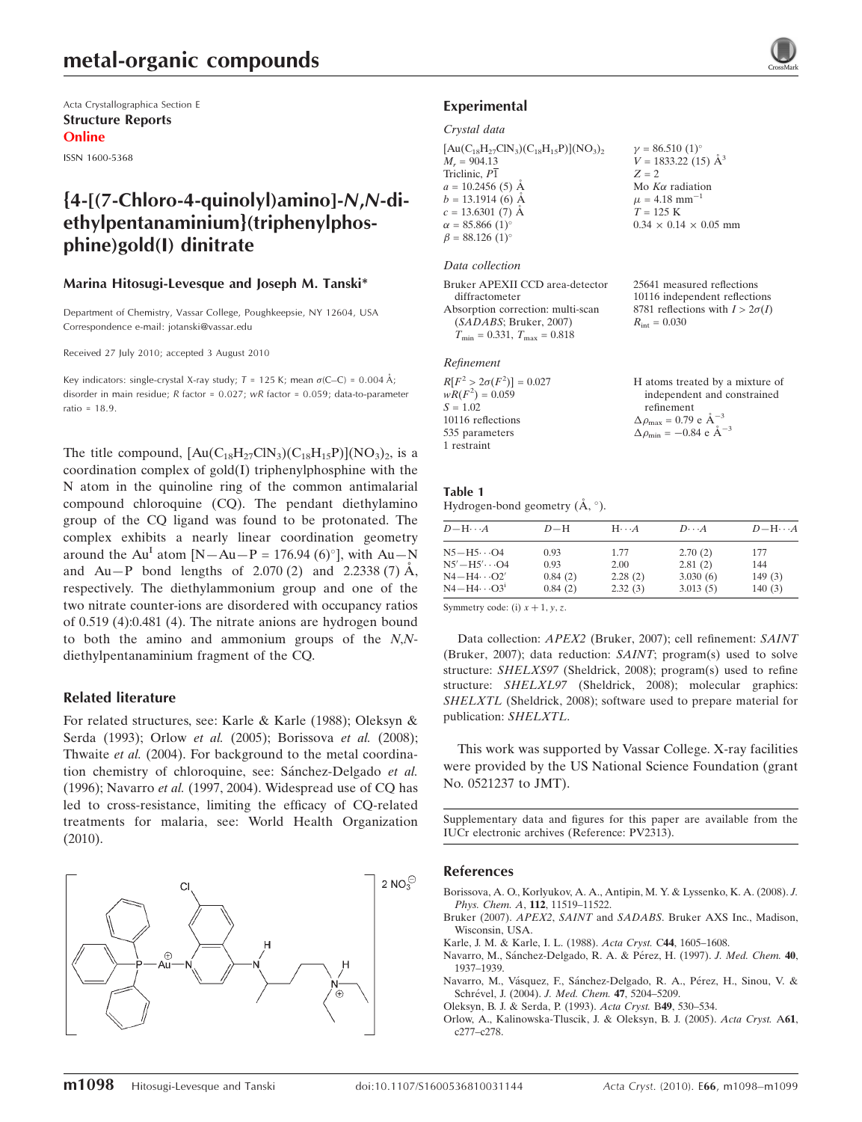## metal-organic compounds

Acta Crystallographica Section E Structure Reports Online

ISSN 1600-5368

### {4-[(7-Chloro-4-quinolyl)amino]-N,N-diethylpentanaminium}(triphenylphosphine)gold(I) dinitrate

#### Marina Hitosugi-Levesque and Joseph M. Tanski\*

Department of Chemistry, Vassar College, Poughkeepsie, NY 12604, USA Correspondence e-mail: jotanski@vassar.edu

Received 27 July 2010; accepted 3 August 2010

Key indicators: single-crystal X-ray study;  $T = 125$  K; mean  $\sigma$ (C–C) = 0.004 Å; disorder in main residue;  $R$  factor = 0.027;  $wR$  factor = 0.059; data-to-parameter ratio = 18.9.

The title compound,  $[Au(C_{18}H_{27}CIN_3)(C_{18}H_{15}P)](NO_3)_2$ , is a coordination complex of gold(I) triphenylphosphine with the N atom in the quinoline ring of the common antimalarial compound chloroquine (CQ). The pendant diethylamino group of the CQ ligand was found to be protonated. The complex exhibits a nearly linear coordination geometry around the Au<sup>I</sup> atom [N — Au — P = 176.94 (6)°], with Au — N and  $Au-P$  bond lengths of 2.070 (2) and 2.2338 (7)  $\AA$ , respectively. The diethylammonium group and one of the two nitrate counter-ions are disordered with occupancy ratios of 0.519 (4):0.481 (4). The nitrate anions are hydrogen bound to both the amino and ammonium groups of the N,Ndiethylpentanaminium fragment of the CQ.

#### Related literature

For related structures, see: Karle & Karle (1988); Oleksyn & Serda (1993); Orlow et al. (2005); Borissova et al. (2008); Thwaite et al. (2004). For background to the metal coordination chemistry of chloroquine, see: Sánchez-Delgado et al. (1996); Navarro et al. (1997, 2004). Widespread use of CQ has led to cross-resistance, limiting the efficacy of CQ-related treatments for malaria, see: World Health Organization (2010).



#### Experimental

#### Crystal data

 $[Au(C_{18}H_{27}ClN_3)(C_{18}H_{15}P)](NO_3)_2$  $M_r = 904.13$ Triclinic,  $P\overline{1}$  $a = 10.2456(5)$  Å  $b = 13.1914(6)$  Å  $c = 13.6301(7)$  Å  $\alpha = 85.866\ (1)$ <sup>o</sup>  $\beta = 88.126 \ (1)^{\circ}$  $\gamma = 86.510 \ (1)^{\circ}$  $V = 1833.22(15)$   $\AA^3$  $Z = 2$ Mo  $K\alpha$  radiation  $\mu$  = 4.18 mm<sup>-1</sup>  $T = 125 K$  $0.34 \times 0.14 \times 0.05$  mm

#### Data collection

| Bruker APEXII CCD area-detector                  | 25641 measured reflections             |
|--------------------------------------------------|----------------------------------------|
| diffractometer                                   | 10116 independent reflections          |
| Absorption correction: multi-scan                | 8781 reflections with $I > 2\sigma(I)$ |
| (SADABS; Bruker, 2007)                           | $R_{\rm int} = 0.030$                  |
| $T_{\text{min}} = 0.331, T_{\text{max}} = 0.818$ |                                        |
|                                                  |                                        |

#### Refinement

| $R[F^2 > 2\sigma(F^2)] = 0.027$ |  |
|---------------------------------|--|
| $wR(F^2) = 0.059$               |  |
| $S = 1.02$                      |  |
| 10116 reflections               |  |
| 535 parameters                  |  |
| 1 restraint                     |  |

H atoms treated by a mixture of independent and constrained refinement  $\Delta \rho_{\text{max}} = 0.79 \text{ e A}^{-3}$ 

 $\Delta \rho_{\rm min} = -0.84 \text{ e A}^{-3}$ 

#### Table 1 Hydrogen-bond geometry  $(\AA, \degree)$ .

| $D - H \cdots A$      | $D-H$ | $H \cdots A$ | $D\cdots A$ | $D - H \cdots A$ |
|-----------------------|-------|--------------|-------------|------------------|
| $N5 - H5 \cdots Q4$   | 0.93  | 1.77         | 2.70(2)     | 177              |
| $N5' - H5' \cdots 04$ | 0.93  | 2.00         | 2.81(2)     | 144              |

 $N4 - H4 \cdots O2'$  0.84 (2) 2.28 (2) 3.030 (6) 149 (3)  $N4 - H4 \cdots O3^{i}$  0.84 (2) 2.32 (3) 3.013 (5) 140 (3)

Symmetry code: (i)  $x + 1$ ,  $y$ , z.

Data collection: APEX2 (Bruker, 2007); cell refinement: SAINT (Bruker, 2007); data reduction: SAINT; program(s) used to solve structure: SHELXS97 (Sheldrick, 2008); program(s) used to refine structure: SHELXL97 (Sheldrick, 2008); molecular graphics: SHELXTL (Sheldrick, 2008); software used to prepare material for publication: SHELXTL.

This work was supported by Vassar College. X-ray facilities were provided by the US National Science Foundation (grant No. 0521237 to JMT).

Supplementary data and figures for this paper are available from the IUCr electronic archives (Reference: PV2313).

#### References

- [Borissova, A. O., Korlyukov, A. A., Antipin, M. Y. & Lyssenko, K. A. \(2008\).](https://scripts.iucr.org/cgi-bin/cr.cgi?rm=pdfbb&cnor=pv2313&bbid=BB1) J. [Phys. Chem. A](https://scripts.iucr.org/cgi-bin/cr.cgi?rm=pdfbb&cnor=pv2313&bbid=BB1), 112, 11519–11522.
- Bruker (2007). APEX2, SAINT and SADABS[. Bruker AXS Inc., Madison,](https://scripts.iucr.org/cgi-bin/cr.cgi?rm=pdfbb&cnor=pv2313&bbid=BB2) [Wisconsin, USA.](https://scripts.iucr.org/cgi-bin/cr.cgi?rm=pdfbb&cnor=pv2313&bbid=BB2)
- [Karle, J. M. & Karle, I. L. \(1988\).](https://scripts.iucr.org/cgi-bin/cr.cgi?rm=pdfbb&cnor=pv2313&bbid=BB3) Acta Cryst. C44, 1605–1608.
- Navarro, M., Sánchez-Delgado, R. A. & Pérez, H. (1997). J. Med. Chem. 40, [1937–1939.](https://scripts.iucr.org/cgi-bin/cr.cgi?rm=pdfbb&cnor=pv2313&bbid=BB4)
- Navarro, M., Vásquez, F., Sánchez-Delgado, R. A., Pérez, H., Sinou, V. & Schrével, J. (2004). J. Med. Chem. 47, 5204-5209.
- [Oleksyn, B. J. & Serda, P. \(1993\).](https://scripts.iucr.org/cgi-bin/cr.cgi?rm=pdfbb&cnor=pv2313&bbid=BB6) Acta Cryst. B49, 530–534.
- [Orlow, A., Kalinowska-Tluscik, J. & Oleksyn, B. J. \(2005\).](https://scripts.iucr.org/cgi-bin/cr.cgi?rm=pdfbb&cnor=pv2313&bbid=BB7) Acta Cryst. A61, [c277–c278.](https://scripts.iucr.org/cgi-bin/cr.cgi?rm=pdfbb&cnor=pv2313&bbid=BB7)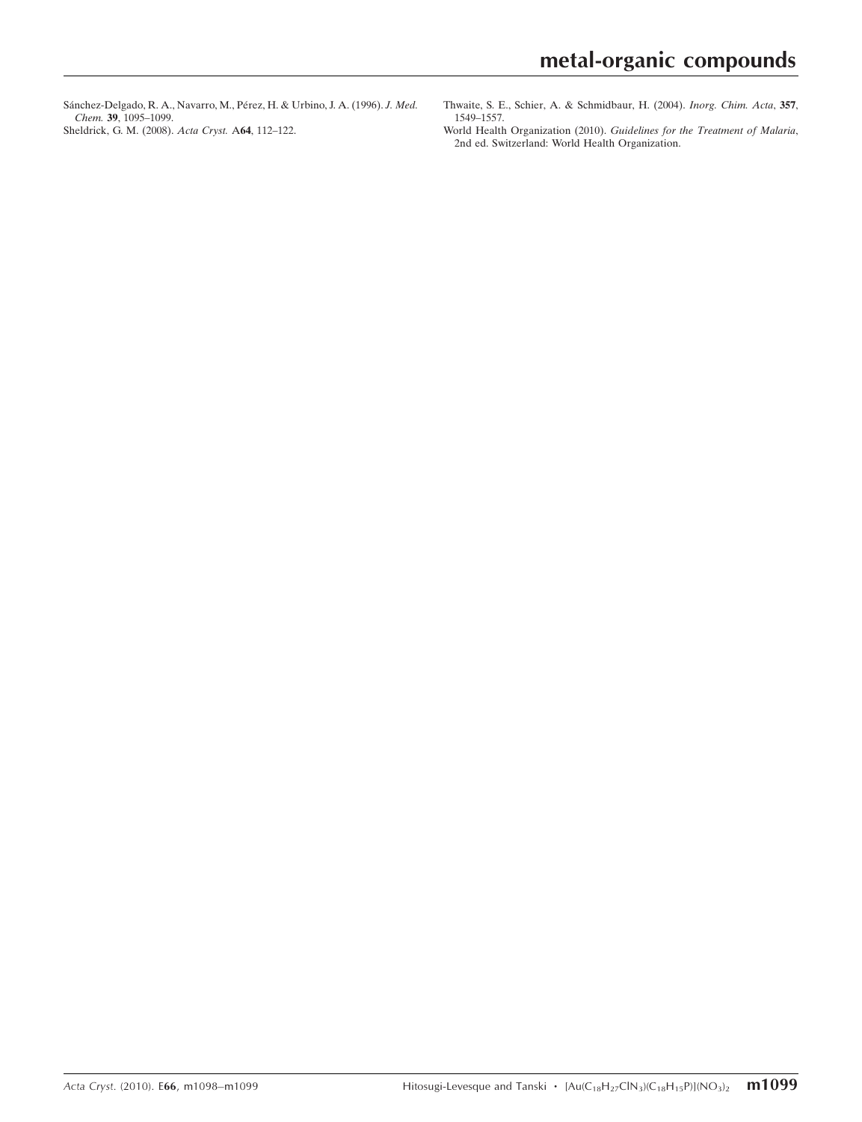Sánchez-Delgado, R. A., Navarro, M., Pérez, H. & Urbino, J. A. (1996). J. Med. Chem. 39[, 1095–1099.](https://scripts.iucr.org/cgi-bin/cr.cgi?rm=pdfbb&cnor=pv2313&bbid=BB8) [Sheldrick, G. M. \(2008\).](https://scripts.iucr.org/cgi-bin/cr.cgi?rm=pdfbb&cnor=pv2313&bbid=BB9) Acta Cryst. A64, 112–122.

- [Thwaite, S. E., Schier, A. & Schmidbaur, H. \(2004\).](https://scripts.iucr.org/cgi-bin/cr.cgi?rm=pdfbb&cnor=pv2313&bbid=BB10) Inorg. Chim. Acta, 357, [1549–1557.](https://scripts.iucr.org/cgi-bin/cr.cgi?rm=pdfbb&cnor=pv2313&bbid=BB10)
- World Health Organization (2010). [Guidelines for the Treatment of Malaria](https://scripts.iucr.org/cgi-bin/cr.cgi?rm=pdfbb&cnor=pv2313&bbid=BB11), [2nd ed. Switzerland: World Health Organization.](https://scripts.iucr.org/cgi-bin/cr.cgi?rm=pdfbb&cnor=pv2313&bbid=BB11)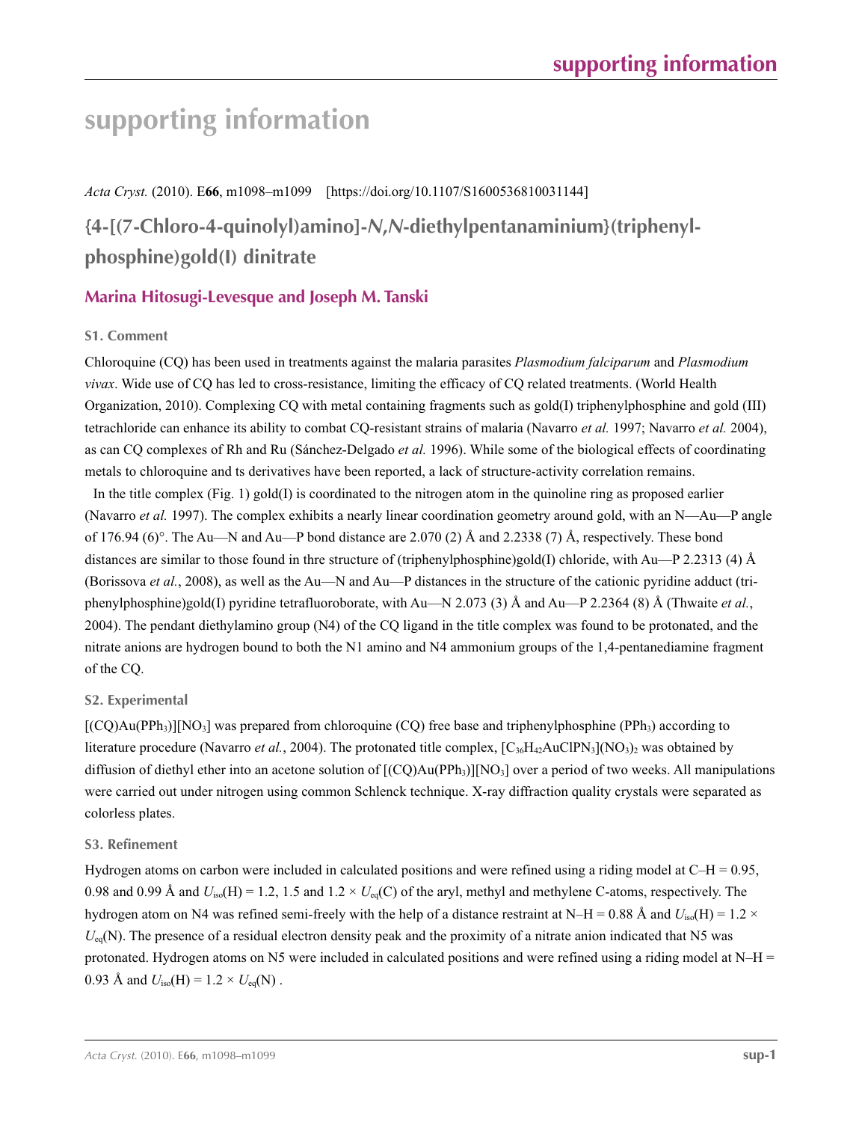# **supporting information**

*Acta Cryst.* (2010). E**66**, m1098–m1099 [https://doi.org/10.1107/S1600536810031144]

# **{4-[(7-Chloro-4-quinolyl)amino]-***N***,***N***-diethylpentanaminium}(triphenylphosphine)gold(I) dinitrate**

### **Marina Hitosugi-Levesque and Joseph M. Tanski**

### **S1. Comment**

Chloroquine (CQ) has been used in treatments against the malaria parasites *Plasmodium falciparum* and *Plasmodium vivax*. Wide use of CQ has led to cross-resistance, limiting the efficacy of CQ related treatments. (World Health Organization, 2010). Complexing CQ with metal containing fragments such as gold(I) triphenylphosphine and gold (III) tetrachloride can enhance its ability to combat CQ-resistant strains of malaria (Navarro *et al.* 1997; Navarro *et al.* 2004), as can CQ complexes of Rh and Ru (Sánchez-Delgado *et al.* 1996). While some of the biological effects of coordinating metals to chloroquine and ts derivatives have been reported, a lack of structure-activity correlation remains.

In the title complex (Fig. 1) gold(I) is coordinated to the nitrogen atom in the quinoline ring as proposed earlier (Navarro *et al.* 1997). The complex exhibits a nearly linear coordination geometry around gold, with an N—Au—P angle of 176.94 (6)°. The Au—N and Au—P bond distance are 2.070 (2) Å and 2.2338 (7) Å, respectively. These bond distances are similar to those found in thre structure of (triphenylphosphine)gold(I) chloride, with Au—P 2.2313 (4) Å (Borissova *et al.*, 2008), as well as the Au—N and Au—P distances in the structure of the cationic pyridine adduct (triphenylphosphine)gold(I) pyridine tetrafluoroborate, with Au—N 2.073 (3) Å and Au—P 2.2364 (8) Å (Thwaite *et al.*, 2004). The pendant diethylamino group (N4) of the CQ ligand in the title complex was found to be protonated, and the nitrate anions are hydrogen bound to both the N1 amino and N4 ammonium groups of the 1,4-pentanediamine fragment of the CQ.

### **S2. Experimental**

 $[({\rm CO})$ Au(PPh<sub>3</sub>)][NO<sub>3</sub>] was prepared from chloroquine (CO) free base and triphenylphosphine (PPh<sub>3</sub>) according to literature procedure (Navarro *et al.*, 2004). The protonated title complex, [C<sub>36</sub>H<sub>42</sub>AuClPN<sub>3</sub>](NO<sub>3</sub>)<sub>2</sub> was obtained by diffusion of diethyl ether into an acetone solution of  $[(CQ)Au(PPh<sub>3</sub>)][NO<sub>3</sub>]$  over a period of two weeks. All manipulations were carried out under nitrogen using common Schlenck technique. X-ray diffraction quality crystals were separated as colorless plates.

### **S3. Refinement**

Hydrogen atoms on carbon were included in calculated positions and were refined using a riding model at  $C-H = 0.95$ , 0.98 and 0.99 Å and  $U_{iso}(H) = 1.2$ , 1.5 and  $1.2 \times U_{eq}(C)$  of the aryl, methyl and methylene C-atoms, respectively. The hydrogen atom on N4 was refined semi-freely with the help of a distance restraint at N–H = 0.88 Å and  $U_{iso}(H) = 1.2 \times$  $U_{eq}(N)$ . The presence of a residual electron density peak and the proximity of a nitrate anion indicated that N5 was protonated. Hydrogen atoms on N5 were included in calculated positions and were refined using a riding model at  $N-H =$ 0.93 Å and  $U_{iso}(H) = 1.2 \times U_{eq}(N)$ .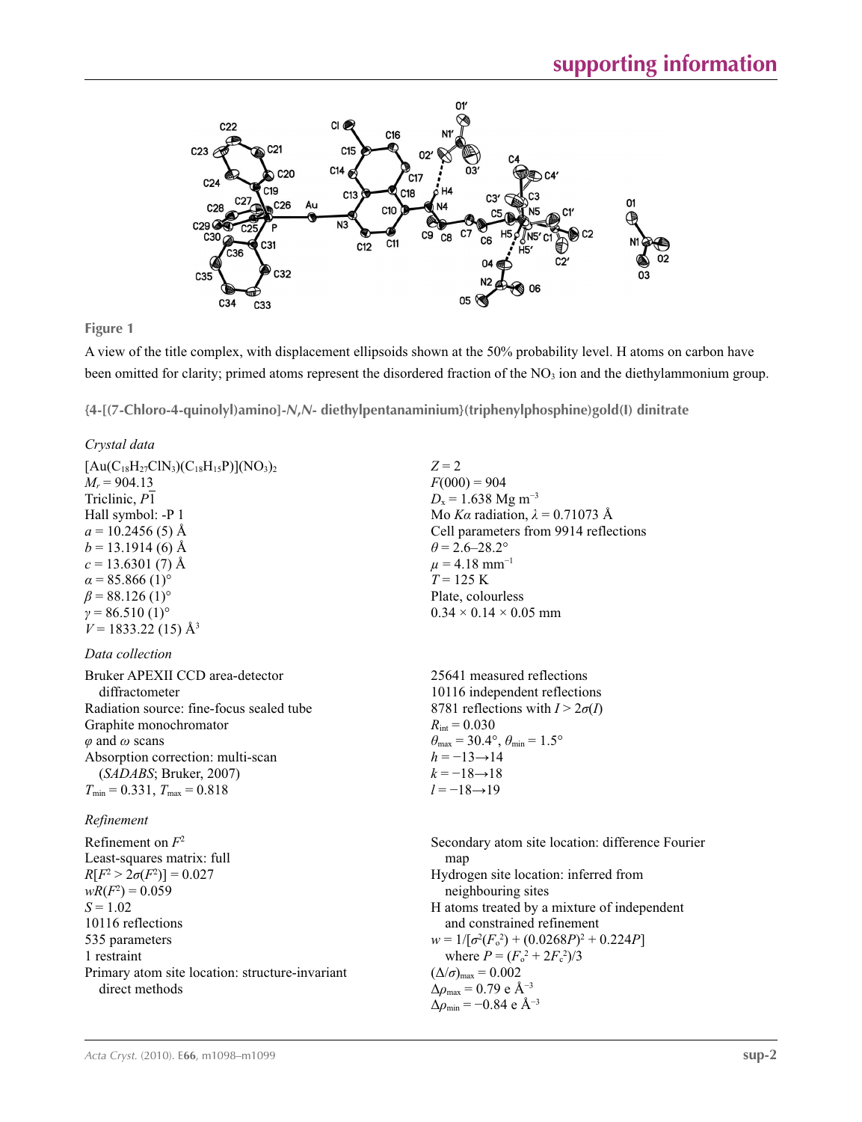

**Figure 1**

A view of the title complex, with displacement ellipsoids shown at the 50% probability level. H atoms on carbon have been omitted for clarity; primed atoms represent the disordered fraction of the NO<sub>3</sub> ion and the diethylammonium group.

**{4-[(7-Chloro-4-quinolyl)amino]-***N***,***N***- diethylpentanaminium}(triphenylphosphine)gold(I) dinitrate** 

*Crystal data*

| $[Au(C_{18}H_{27}ClN_3)(C_{18}H_{15}P)](NO_3)_2$<br>$M_r = 904.13$<br>Triclinic, P1<br>Hall symbol: -P 1<br>$a = 10.2456(5)$ Å<br>$b = 13.1914(6)$ Å<br>$c = 13.6301(7)$ Å<br>$\alpha$ = 85.866 (1) <sup>o</sup><br>$\beta$ = 88.126 (1) <sup>o</sup><br>$\gamma = 86.510(1)$ °<br>$V = 1833.22$ (15) Å <sup>3</sup> | $Z = 2$<br>$F(000) = 904$<br>$D_x = 1.638$ Mg m <sup>-3</sup><br>Mo Ka radiation, $\lambda = 0.71073$ Å<br>Cell parameters from 9914 reflections<br>$\theta$ = 2.6–28.2°<br>$\mu = 4.18$ mm <sup>-1</sup><br>$T = 125$ K<br>Plate, colourless<br>$0.34 \times 0.14 \times 0.05$ mm                                                                                                                                                            |
|----------------------------------------------------------------------------------------------------------------------------------------------------------------------------------------------------------------------------------------------------------------------------------------------------------------------|-----------------------------------------------------------------------------------------------------------------------------------------------------------------------------------------------------------------------------------------------------------------------------------------------------------------------------------------------------------------------------------------------------------------------------------------------|
| Data collection                                                                                                                                                                                                                                                                                                      |                                                                                                                                                                                                                                                                                                                                                                                                                                               |
| Bruker APEXII CCD area-detector<br>diffractometer<br>Radiation source: fine-focus sealed tube<br>Graphite monochromator<br>$\varphi$ and $\omega$ scans<br>Absorption correction: multi-scan<br>(SADABS; Bruker, 2007)<br>$T_{\min}$ = 0.331, $T_{\max}$ = 0.818                                                     | 25641 measured reflections<br>10116 independent reflections<br>8781 reflections with $I > 2\sigma(I)$<br>$R_{\rm int} = 0.030$<br>$\theta_{\text{max}} = 30.4^{\circ}, \theta_{\text{min}} = 1.5^{\circ}$<br>$h = -13 \rightarrow 14$<br>$k = -18 \rightarrow 18$<br>$l = -18 \rightarrow 19$                                                                                                                                                 |
| Refinement                                                                                                                                                                                                                                                                                                           |                                                                                                                                                                                                                                                                                                                                                                                                                                               |
| Refinement on $F^2$<br>Least-squares matrix: full<br>$R[F^2 > 2\sigma(F^2)] = 0.027$<br>$wR(F^2) = 0.059$<br>$S = 1.02$<br>10116 reflections<br>535 parameters<br>1 restraint<br>Primary atom site location: structure-invariant<br>direct methods                                                                   | Secondary atom site location: difference Fourier<br>map<br>Hydrogen site location: inferred from<br>neighbouring sites<br>H atoms treated by a mixture of independent<br>and constrained refinement<br>$w = 1/[\sigma^2(F_o^2) + (0.0268P)^2 + 0.224P]$<br>where $P = (F_o^2 + 2F_s^2)/3$<br>$(\Delta/\sigma)_{\text{max}} = 0.002$<br>$\Delta\rho_{\text{max}}$ = 0.79 e Å <sup>-3</sup><br>$\Delta\rho_{\rm min}$ = -0.84 e Å <sup>-3</sup> |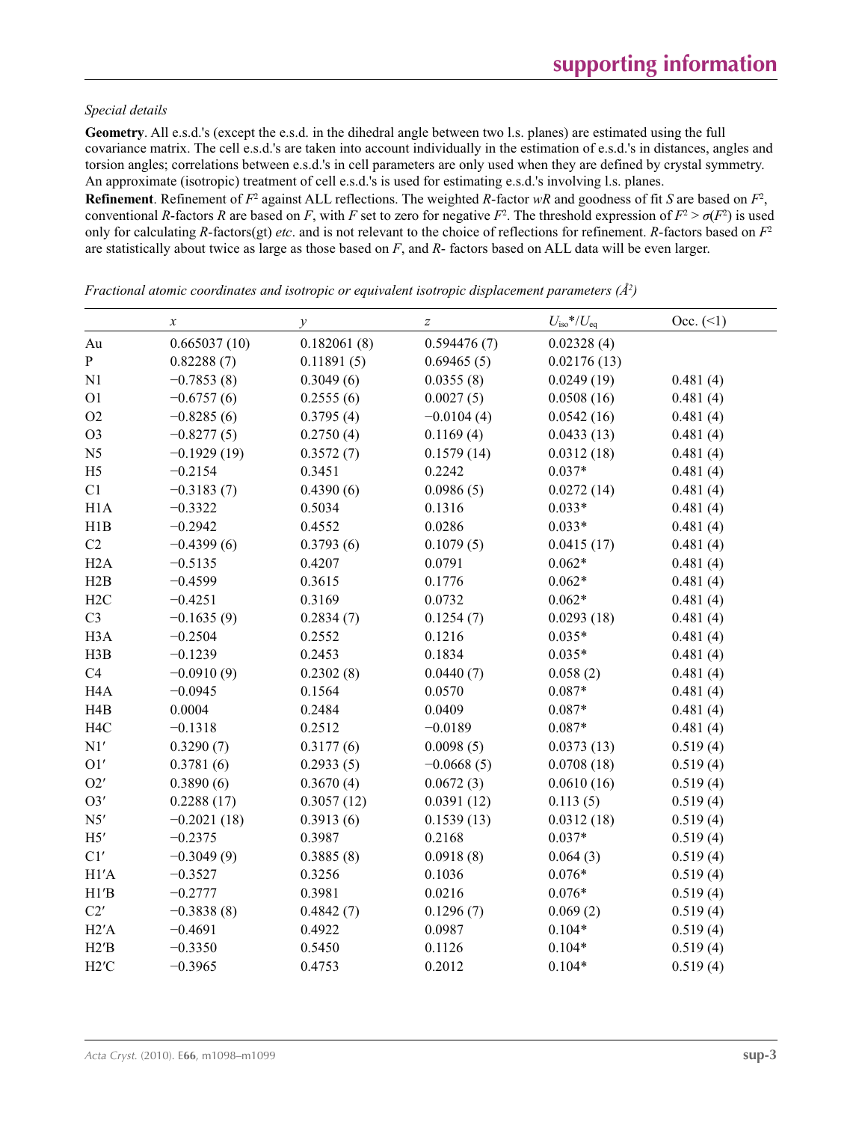#### *Special details*

**Geometry**. All e.s.d.'s (except the e.s.d. in the dihedral angle between two l.s. planes) are estimated using the full covariance matrix. The cell e.s.d.'s are taken into account individually in the estimation of e.s.d.'s in distances, angles and torsion angles; correlations between e.s.d.'s in cell parameters are only used when they are defined by crystal symmetry. An approximate (isotropic) treatment of cell e.s.d.'s is used for estimating e.s.d.'s involving l.s. planes.

**Refinement**. Refinement of  $F^2$  against ALL reflections. The weighted R-factor wR and goodness of fit *S* are based on  $F^2$ , conventional *R*-factors *R* are based on *F*, with *F* set to zero for negative  $F^2$ . The threshold expression of  $F^2 > \sigma(F^2)$  is used only for calculating *R*-factors(gt) *etc*. and is not relevant to the choice of reflections for refinement. *R*-factors based on *F*<sup>2</sup> are statistically about twice as large as those based on *F*, and *R*- factors based on ALL data will be even larger.

|                  | $\boldsymbol{\chi}$ | $\mathcal V$ | $\boldsymbol{Z}$ | $U_{\text{iso}}$ */ $U_{\text{eq}}$ | Occ. (2) |
|------------------|---------------------|--------------|------------------|-------------------------------------|----------|
| Au               | 0.665037(10)        | 0.182061(8)  | 0.594476(7)      | 0.02328(4)                          |          |
| ${\bf P}$        | 0.82288(7)          | 0.11891(5)   | 0.69465(5)       | 0.02176(13)                         |          |
| N1               | $-0.7853(8)$        | 0.3049(6)    | 0.0355(8)        | 0.0249(19)                          | 0.481(4) |
| O <sub>1</sub>   | $-0.6757(6)$        | 0.2555(6)    | 0.0027(5)        | 0.0508(16)                          | 0.481(4) |
| O2               | $-0.8285(6)$        | 0.3795(4)    | $-0.0104(4)$     | 0.0542(16)                          | 0.481(4) |
| O <sub>3</sub>   | $-0.8277(5)$        | 0.2750(4)    | 0.1169(4)        | 0.0433(13)                          | 0.481(4) |
| N <sub>5</sub>   | $-0.1929(19)$       | 0.3572(7)    | 0.1579(14)       | 0.0312(18)                          | 0.481(4) |
| H <sub>5</sub>   | $-0.2154$           | 0.3451       | 0.2242           | $0.037*$                            | 0.481(4) |
| C1               | $-0.3183(7)$        | 0.4390(6)    | 0.0986(5)        | 0.0272(14)                          | 0.481(4) |
| H1A              | $-0.3322$           | 0.5034       | 0.1316           | $0.033*$                            | 0.481(4) |
| H1B              | $-0.2942$           | 0.4552       | 0.0286           | $0.033*$                            | 0.481(4) |
| C2               | $-0.4399(6)$        | 0.3793(6)    | 0.1079(5)        | 0.0415(17)                          | 0.481(4) |
| H2A              | $-0.5135$           | 0.4207       | 0.0791           | $0.062*$                            | 0.481(4) |
| H2B              | $-0.4599$           | 0.3615       | 0.1776           | $0.062*$                            | 0.481(4) |
| H2C              | $-0.4251$           | 0.3169       | 0.0732           | $0.062*$                            | 0.481(4) |
| C <sub>3</sub>   | $-0.1635(9)$        | 0.2834(7)    | 0.1254(7)        | 0.0293(18)                          | 0.481(4) |
| H <sub>3</sub> A | $-0.2504$           | 0.2552       | 0.1216           | $0.035*$                            | 0.481(4) |
| H3B              | $-0.1239$           | 0.2453       | 0.1834           | $0.035*$                            | 0.481(4) |
| C <sub>4</sub>   | $-0.0910(9)$        | 0.2302(8)    | 0.0440(7)        | 0.058(2)                            | 0.481(4) |
| H <sub>4</sub> A | $-0.0945$           | 0.1564       | 0.0570           | $0.087*$                            | 0.481(4) |
| H <sub>4</sub> B | 0.0004              | 0.2484       | 0.0409           | $0.087*$                            | 0.481(4) |
| H <sub>4C</sub>  | $-0.1318$           | 0.2512       | $-0.0189$        | $0.087*$                            | 0.481(4) |
| N1'              | 0.3290(7)           | 0.3177(6)    | 0.0098(5)        | 0.0373(13)                          | 0.519(4) |
| O1'              | 0.3781(6)           | 0.2933(5)    | $-0.0668(5)$     | 0.0708(18)                          | 0.519(4) |
| O2'              | 0.3890(6)           | 0.3670(4)    | 0.0672(3)        | 0.0610(16)                          | 0.519(4) |
| O3'              | 0.2288(17)          | 0.3057(12)   | 0.0391(12)       | 0.113(5)                            | 0.519(4) |
| N5'              | $-0.2021(18)$       | 0.3913(6)    | 0.1539(13)       | 0.0312(18)                          | 0.519(4) |
| H5'              | $-0.2375$           | 0.3987       | 0.2168           | $0.037*$                            | 0.519(4) |
| C1'              | $-0.3049(9)$        | 0.3885(8)    | 0.0918(8)        | 0.064(3)                            | 0.519(4) |
| H1'A             | $-0.3527$           | 0.3256       | 0.1036           | $0.076*$                            | 0.519(4) |
| H1'B             | $-0.2777$           | 0.3981       | 0.0216           | $0.076*$                            | 0.519(4) |
| C2'              | $-0.3838(8)$        | 0.4842(7)    | 0.1296(7)        | 0.069(2)                            | 0.519(4) |
| H2'A             | $-0.4691$           | 0.4922       | 0.0987           | $0.104*$                            | 0.519(4) |
| H2'B             | $-0.3350$           | 0.5450       | 0.1126           | $0.104*$                            | 0.519(4) |
| $H2^{\prime}C$   | $-0.3965$           | 0.4753       | 0.2012           | $0.104*$                            | 0.519(4) |

*Fractional atomic coordinates and isotropic or equivalent isotropic displacement parameters (Å2 )*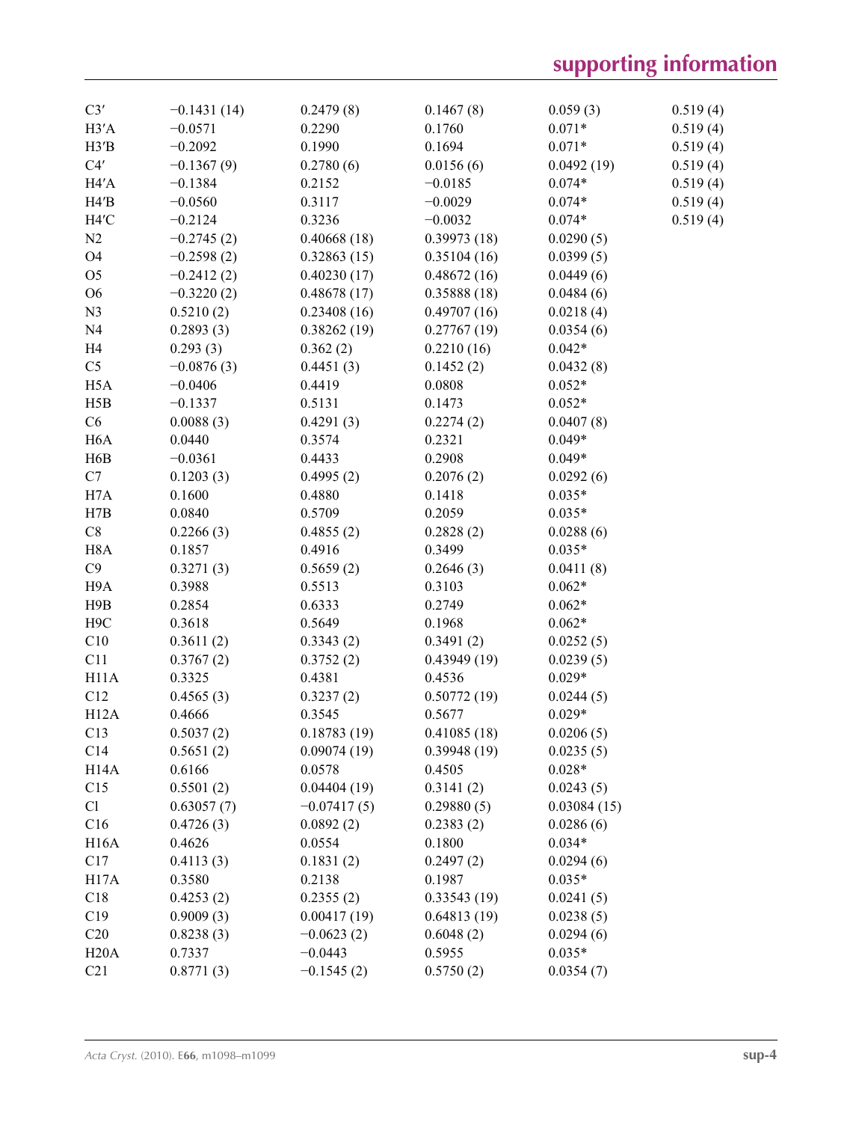# **supporting information**

| C3'               | $-0.1431(14)$ | 0.2479(8)     | 0.1467(8)   | 0.059(3)    | 0.519(4) |
|-------------------|---------------|---------------|-------------|-------------|----------|
| H3'A              | $-0.0571$     | 0.2290        | 0.1760      | $0.071*$    | 0.519(4) |
| H3'B              | $-0.2092$     | 0.1990        | 0.1694      | $0.071*$    | 0.519(4) |
| C4'               | $-0.1367(9)$  | 0.2780(6)     | 0.0156(6)   | 0.0492(19)  | 0.519(4) |
| H4'A              | $-0.1384$     | 0.2152        | $-0.0185$   | $0.074*$    | 0.519(4) |
| H4'B              | $-0.0560$     | 0.3117        | $-0.0029$   | $0.074*$    | 0.519(4) |
| H4'C              | $-0.2124$     | 0.3236        | $-0.0032$   | $0.074*$    | 0.519(4) |
| N <sub>2</sub>    | $-0.2745(2)$  | 0.40668(18)   | 0.39973(18) | 0.0290(5)   |          |
| O <sub>4</sub>    | $-0.2598(2)$  | 0.32863(15)   | 0.35104(16) | 0.0399(5)   |          |
| O <sub>5</sub>    | $-0.2412(2)$  | 0.40230(17)   | 0.48672(16) | 0.0449(6)   |          |
| O <sub>6</sub>    | $-0.3220(2)$  | 0.48678(17)   | 0.35888(18) | 0.0484(6)   |          |
| N <sub>3</sub>    | 0.5210(2)     | 0.23408(16)   | 0.49707(16) | 0.0218(4)   |          |
| N <sub>4</sub>    | 0.2893(3)     | 0.38262(19)   | 0.27767(19) | 0.0354(6)   |          |
| H <sub>4</sub>    | 0.293(3)      | 0.362(2)      | 0.2210(16)  | $0.042*$    |          |
| C <sub>5</sub>    | $-0.0876(3)$  | 0.4451(3)     | 0.1452(2)   | 0.0432(8)   |          |
| H <sub>5</sub> A  | $-0.0406$     | 0.4419        | 0.0808      | $0.052*$    |          |
| H5B               | $-0.1337$     | 0.5131        | 0.1473      | $0.052*$    |          |
| C6                | 0.0088(3)     | 0.4291(3)     | 0.2274(2)   | 0.0407(8)   |          |
| H <sub>6</sub> A  | 0.0440        | 0.3574        | 0.2321      | $0.049*$    |          |
| H6B               | $-0.0361$     | 0.4433        | 0.2908      | $0.049*$    |          |
| C7                | 0.1203(3)     | 0.4995(2)     | 0.2076(2)   | 0.0292(6)   |          |
| H7A               | 0.1600        | 0.4880        | 0.1418      | $0.035*$    |          |
| H7B               | 0.0840        | 0.5709        | 0.2059      | $0.035*$    |          |
| C8                | 0.2266(3)     | 0.4855(2)     | 0.2828(2)   | 0.0288(6)   |          |
| H <sub>8</sub> A  | 0.1857        | 0.4916        | 0.3499      | $0.035*$    |          |
| C9                | 0.3271(3)     | 0.5659(2)     | 0.2646(3)   | 0.0411(8)   |          |
| H9A               | 0.3988        | 0.5513        | 0.3103      | $0.062*$    |          |
| H9B               | 0.2854        | 0.6333        | 0.2749      | $0.062*$    |          |
| H <sub>9</sub> C  | 0.3618        | 0.5649        | 0.1968      | $0.062*$    |          |
| C10               | 0.3611(2)     | 0.3343(2)     | 0.3491(2)   | 0.0252(5)   |          |
| C11               | 0.3767(2)     | 0.3752(2)     | 0.43949(19) | 0.0239(5)   |          |
| H11A              | 0.3325        | 0.4381        | 0.4536      | $0.029*$    |          |
| C12               | 0.4565(3)     | 0.3237(2)     | 0.50772(19) | 0.0244(5)   |          |
| H <sub>12</sub> A | 0.4666        | 0.3545        | 0.5677      | $0.029*$    |          |
| C13               | 0.5037(2)     | 0.18783(19)   | 0.41085(18) | 0.0206(5)   |          |
| C14               | 0.5651(2)     | 0.09074(19)   | 0.39948(19) | 0.0235(5)   |          |
| H <sub>14</sub> A | 0.6166        | 0.0578        | 0.4505      | $0.028*$    |          |
| C15               | 0.5501(2)     | 0.04404(19)   | 0.3141(2)   | 0.0243(5)   |          |
| Cl                | 0.63057(7)    | $-0.07417(5)$ | 0.29880(5)  | 0.03084(15) |          |
| C16               | 0.4726(3)     | 0.0892(2)     | 0.2383(2)   | 0.0286(6)   |          |
| H <sub>16</sub> A | 0.4626        | 0.0554        | 0.1800      | $0.034*$    |          |
| C17               | 0.4113(3)     | 0.1831(2)     | 0.2497(2)   | 0.0294(6)   |          |
| H17A              | 0.3580        | 0.2138        | 0.1987      | $0.035*$    |          |
| C18               | 0.4253(2)     | 0.2355(2)     | 0.33543(19) | 0.0241(5)   |          |
| C19               | 0.9009(3)     | 0.00417(19)   | 0.64813(19) | 0.0238(5)   |          |
| C20               | 0.8238(3)     | $-0.0623(2)$  | 0.6048(2)   | 0.0294(6)   |          |
| H20A              | 0.7337        | $-0.0443$     | 0.5955      | $0.035*$    |          |
| C21               | 0.8771(3)     | $-0.1545(2)$  | 0.5750(2)   | 0.0354(7)   |          |
|                   |               |               |             |             |          |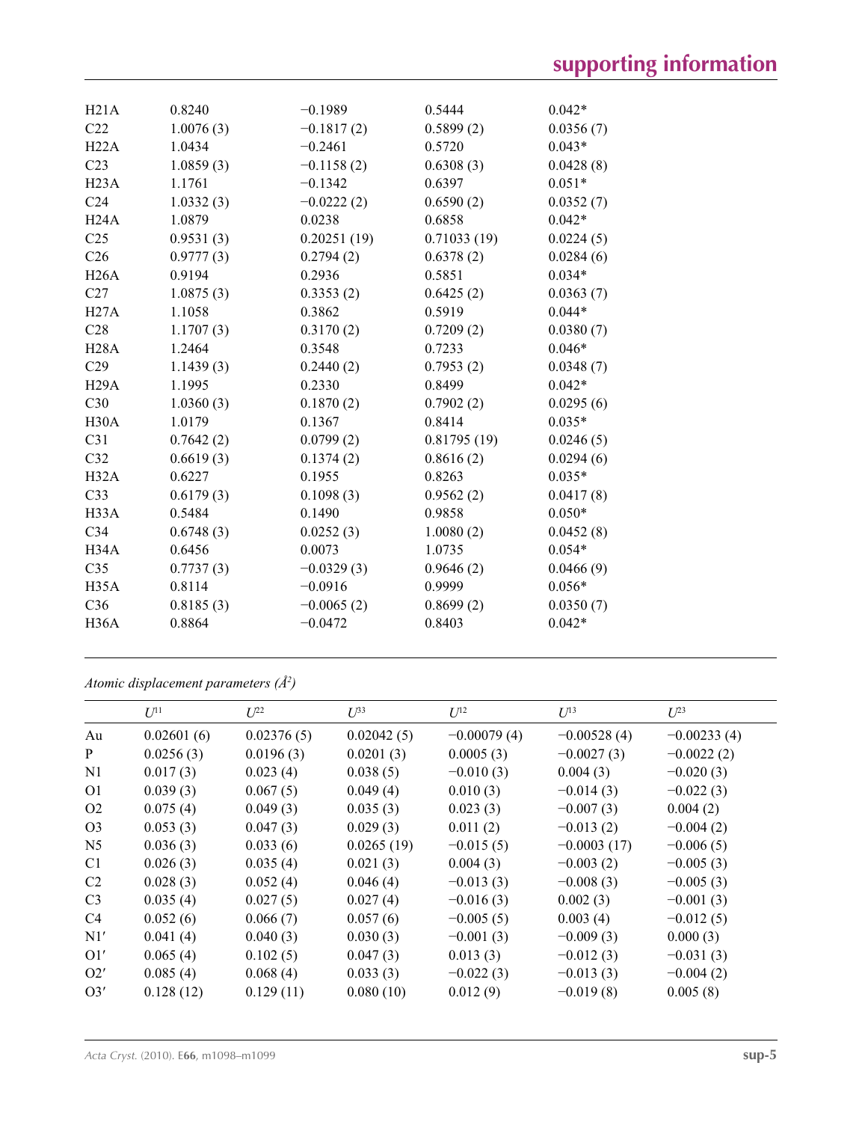| H21A              | 0.8240    | $-0.1989$    | 0.5444      | $0.042*$  |
|-------------------|-----------|--------------|-------------|-----------|
| C <sub>22</sub>   | 1.0076(3) | $-0.1817(2)$ | 0.5899(2)   | 0.0356(7) |
| H22A              | 1.0434    | $-0.2461$    | 0.5720      | $0.043*$  |
| C <sub>23</sub>   | 1.0859(3) | $-0.1158(2)$ | 0.6308(3)   | 0.0428(8) |
| H23A              | 1.1761    | $-0.1342$    | 0.6397      | $0.051*$  |
| C <sub>24</sub>   | 1.0332(3) | $-0.0222(2)$ | 0.6590(2)   | 0.0352(7) |
| H24A              | 1.0879    | 0.0238       | 0.6858      | $0.042*$  |
| C <sub>25</sub>   | 0.9531(3) | 0.20251(19)  | 0.71033(19) | 0.0224(5) |
| C <sub>26</sub>   | 0.9777(3) | 0.2794(2)    | 0.6378(2)   | 0.0284(6) |
| H26A              | 0.9194    | 0.2936       | 0.5851      | $0.034*$  |
| C <sub>27</sub>   | 1.0875(3) | 0.3353(2)    | 0.6425(2)   | 0.0363(7) |
| H27A              | 1.1058    | 0.3862       | 0.5919      | $0.044*$  |
| C28               | 1.1707(3) | 0.3170(2)    | 0.7209(2)   | 0.0380(7) |
| H28A              | 1.2464    | 0.3548       | 0.7233      | $0.046*$  |
| C <sub>29</sub>   | 1.1439(3) | 0.2440(2)    | 0.7953(2)   | 0.0348(7) |
| H29A              | 1.1995    | 0.2330       | 0.8499      | $0.042*$  |
| C30               | 1.0360(3) | 0.1870(2)    | 0.7902(2)   | 0.0295(6) |
| H <sub>30</sub> A | 1.0179    | 0.1367       | 0.8414      | $0.035*$  |
| C31               | 0.7642(2) | 0.0799(2)    | 0.81795(19) | 0.0246(5) |
| C <sub>32</sub>   | 0.6619(3) | 0.1374(2)    | 0.8616(2)   | 0.0294(6) |
| H32A              | 0.6227    | 0.1955       | 0.8263      | $0.035*$  |
| C33               | 0.6179(3) | 0.1098(3)    | 0.9562(2)   | 0.0417(8) |
| H33A              | 0.5484    | 0.1490       | 0.9858      | $0.050*$  |
| C <sub>34</sub>   | 0.6748(3) | 0.0252(3)    | 1.0080(2)   | 0.0452(8) |
| H34A              | 0.6456    | 0.0073       | 1.0735      | $0.054*$  |
| C <sub>35</sub>   | 0.7737(3) | $-0.0329(3)$ | 0.9646(2)   | 0.0466(9) |
| H <sub>35</sub> A | 0.8114    | $-0.0916$    | 0.9999      | $0.056*$  |
| C36               | 0.8185(3) | $-0.0065(2)$ | 0.8699(2)   | 0.0350(7) |
| H36A              | 0.8864    | $-0.0472$    | 0.8403      | $0.042*$  |
|                   |           |              |             |           |

*Atomic displacement parameters (Å2 )*

|                | $U^{11}$   | $L^{22}$   | $\mathcal{L}^{\beta 3}$ | $U^{12}$      | $U^{13}$      | $L^{23}$      |
|----------------|------------|------------|-------------------------|---------------|---------------|---------------|
| Au             | 0.02601(6) | 0.02376(5) | 0.02042(5)              | $-0.00079(4)$ | $-0.00528(4)$ | $-0.00233(4)$ |
| $\mathbf{P}$   | 0.0256(3)  | 0.0196(3)  | 0.0201(3)               | 0.0005(3)     | $-0.0027(3)$  | $-0.0022(2)$  |
| N <sub>1</sub> | 0.017(3)   | 0.023(4)   | 0.038(5)                | $-0.010(3)$   | 0.004(3)      | $-0.020(3)$   |
| O <sub>1</sub> | 0.039(3)   | 0.067(5)   | 0.049(4)                | 0.010(3)      | $-0.014(3)$   | $-0.022(3)$   |
| O <sub>2</sub> | 0.075(4)   | 0.049(3)   | 0.035(3)                | 0.023(3)      | $-0.007(3)$   | 0.004(2)      |
| O <sub>3</sub> | 0.053(3)   | 0.047(3)   | 0.029(3)                | 0.011(2)      | $-0.013(2)$   | $-0.004(2)$   |
| N <sub>5</sub> | 0.036(3)   | 0.033(6)   | 0.0265(19)              | $-0.015(5)$   | $-0.0003(17)$ | $-0.006(5)$   |
| C <sub>1</sub> | 0.026(3)   | 0.035(4)   | 0.021(3)                | 0.004(3)      | $-0.003(2)$   | $-0.005(3)$   |
| C2             | 0.028(3)   | 0.052(4)   | 0.046(4)                | $-0.013(3)$   | $-0.008(3)$   | $-0.005(3)$   |
| C <sub>3</sub> | 0.035(4)   | 0.027(5)   | 0.027(4)                | $-0.016(3)$   | 0.002(3)      | $-0.001(3)$   |
| C <sub>4</sub> | 0.052(6)   | 0.066(7)   | 0.057(6)                | $-0.005(5)$   | 0.003(4)      | $-0.012(5)$   |
| N1'            | 0.041(4)   | 0.040(3)   | 0.030(3)                | $-0.001(3)$   | $-0.009(3)$   | 0.000(3)      |
| O1'            | 0.065(4)   | 0.102(5)   | 0.047(3)                | 0.013(3)      | $-0.012(3)$   | $-0.031(3)$   |
| O2'            | 0.085(4)   | 0.068(4)   | 0.033(3)                | $-0.022(3)$   | $-0.013(3)$   | $-0.004(2)$   |
| O3'            | 0.128(12)  | 0.129(11)  | 0.080(10)               | 0.012(9)      | $-0.019(8)$   | 0.005(8)      |
|                |            |            |                         |               |               |               |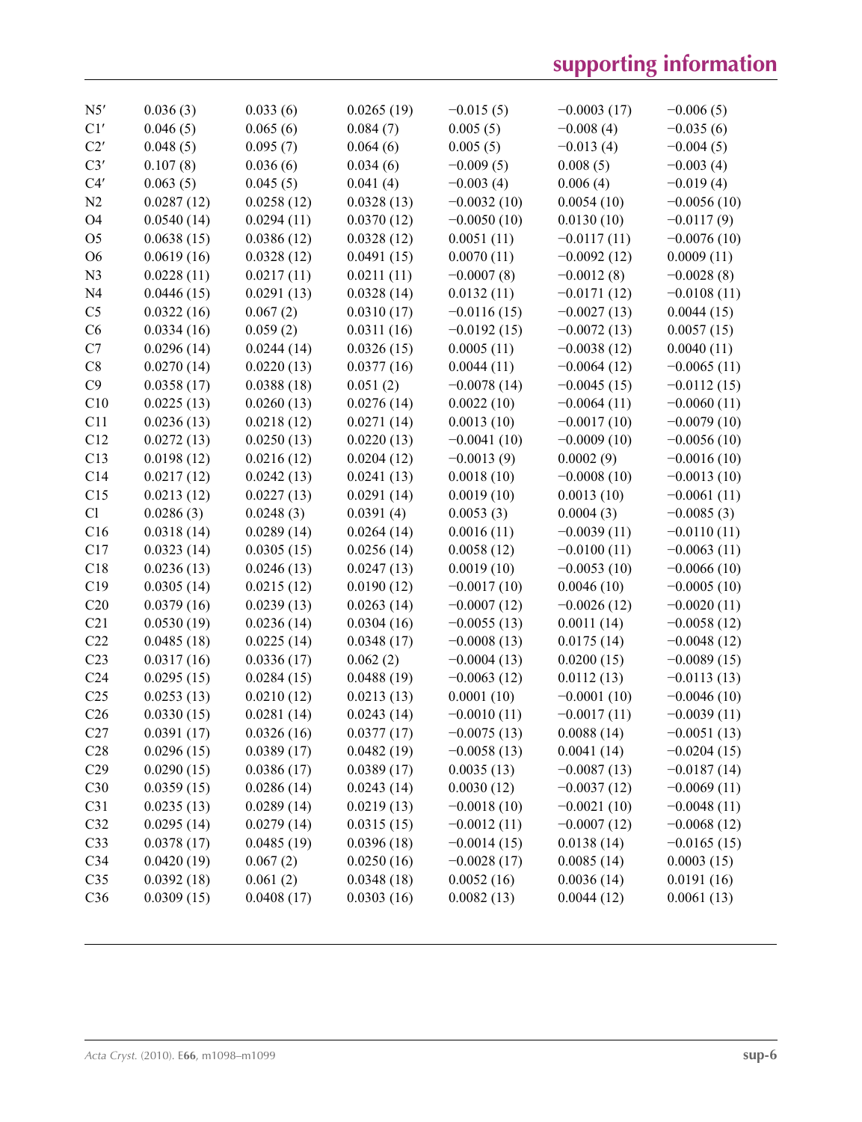| N5'             | 0.036(3)   | 0.033(6)   | 0.0265(19) | $-0.015(5)$   | $-0.0003(17)$ | $-0.006(5)$   |
|-----------------|------------|------------|------------|---------------|---------------|---------------|
| C1'             | 0.046(5)   | 0.065(6)   | 0.084(7)   | 0.005(5)      | $-0.008(4)$   | $-0.035(6)$   |
| C2'             | 0.048(5)   | 0.095(7)   | 0.064(6)   | 0.005(5)      | $-0.013(4)$   | $-0.004(5)$   |
| C3'             | 0.107(8)   | 0.036(6)   | 0.034(6)   | $-0.009(5)$   | 0.008(5)      | $-0.003(4)$   |
| C4'             | 0.063(5)   | 0.045(5)   | 0.041(4)   | $-0.003(4)$   | 0.006(4)      | $-0.019(4)$   |
| N <sub>2</sub>  | 0.0287(12) | 0.0258(12) | 0.0328(13) | $-0.0032(10)$ | 0.0054(10)    | $-0.0056(10)$ |
| O <sub>4</sub>  | 0.0540(14) | 0.0294(11) | 0.0370(12) | $-0.0050(10)$ | 0.0130(10)    | $-0.0117(9)$  |
| O <sub>5</sub>  | 0.0638(15) | 0.0386(12) | 0.0328(12) | 0.0051(11)    | $-0.0117(11)$ | $-0.0076(10)$ |
| O <sub>6</sub>  | 0.0619(16) | 0.0328(12) | 0.0491(15) | 0.0070(11)    | $-0.0092(12)$ | 0.0009(11)    |
| N <sub>3</sub>  | 0.0228(11) | 0.0217(11) | 0.0211(11) | $-0.0007(8)$  | $-0.0012(8)$  | $-0.0028(8)$  |
| N <sub>4</sub>  | 0.0446(15) | 0.0291(13) | 0.0328(14) | 0.0132(11)    | $-0.0171(12)$ | $-0.0108(11)$ |
| C <sub>5</sub>  | 0.0322(16) | 0.067(2)   | 0.0310(17) | $-0.0116(15)$ | $-0.0027(13)$ | 0.0044(15)    |
| C6              | 0.0334(16) | 0.059(2)   | 0.0311(16) | $-0.0192(15)$ | $-0.0072(13)$ | 0.0057(15)    |
| C7              | 0.0296(14) | 0.0244(14) | 0.0326(15) | 0.0005(11)    | $-0.0038(12)$ | 0.0040(11)    |
| C8              | 0.0270(14) | 0.0220(13) | 0.0377(16) | 0.0044(11)    | $-0.0064(12)$ | $-0.0065(11)$ |
| C9              | 0.0358(17) | 0.0388(18) | 0.051(2)   | $-0.0078(14)$ | $-0.0045(15)$ | $-0.0112(15)$ |
| C10             | 0.0225(13) | 0.0260(13) | 0.0276(14) | 0.0022(10)    | $-0.0064(11)$ | $-0.0060(11)$ |
| C11             | 0.0236(13) | 0.0218(12) | 0.0271(14) | 0.0013(10)    | $-0.0017(10)$ | $-0.0079(10)$ |
| C12             | 0.0272(13) | 0.0250(13) | 0.0220(13) | $-0.0041(10)$ | $-0.0009(10)$ | $-0.0056(10)$ |
| C13             | 0.0198(12) | 0.0216(12) | 0.0204(12) | $-0.0013(9)$  | 0.0002(9)     | $-0.0016(10)$ |
| C14             | 0.0217(12) | 0.0242(13) | 0.0241(13) | 0.0018(10)    | $-0.0008(10)$ | $-0.0013(10)$ |
| C15             | 0.0213(12) | 0.0227(13) | 0.0291(14) | 0.0019(10)    | 0.0013(10)    | $-0.0061(11)$ |
| Cl              | 0.0286(3)  | 0.0248(3)  | 0.0391(4)  | 0.0053(3)     | 0.0004(3)     | $-0.0085(3)$  |
| C16             | 0.0318(14) | 0.0289(14) | 0.0264(14) | 0.0016(11)    | $-0.0039(11)$ | $-0.0110(11)$ |
| C17             | 0.0323(14) | 0.0305(15) | 0.0256(14) | 0.0058(12)    | $-0.0100(11)$ | $-0.0063(11)$ |
| C18             | 0.0236(13) | 0.0246(13) | 0.0247(13) | 0.0019(10)    | $-0.0053(10)$ | $-0.0066(10)$ |
| C19             | 0.0305(14) | 0.0215(12) | 0.0190(12) | $-0.0017(10)$ | 0.0046(10)    | $-0.0005(10)$ |
| C20             | 0.0379(16) | 0.0239(13) | 0.0263(14) | $-0.0007(12)$ | $-0.0026(12)$ | $-0.0020(11)$ |
| C21             | 0.0530(19) | 0.0236(14) | 0.0304(16) | $-0.0055(13)$ | 0.0011(14)    | $-0.0058(12)$ |
| C22             | 0.0485(18) | 0.0225(14) | 0.0348(17) | $-0.0008(13)$ | 0.0175(14)    | $-0.0048(12)$ |
| C <sub>23</sub> | 0.0317(16) | 0.0336(17) | 0.062(2)   | $-0.0004(13)$ | 0.0200(15)    | $-0.0089(15)$ |
| C <sub>24</sub> | 0.0295(15) | 0.0284(15) | 0.0488(19) | $-0.0063(12)$ | 0.0112(13)    | $-0.0113(13)$ |
| C <sub>25</sub> | 0.0253(13) | 0.0210(12) | 0.0213(13) | 0.0001(10)    | $-0.0001(10)$ | $-0.0046(10)$ |
| C <sub>26</sub> | 0.0330(15) | 0.0281(14) | 0.0243(14) | $-0.0010(11)$ | $-0.0017(11)$ | $-0.0039(11)$ |
| C27             | 0.0391(17) | 0.0326(16) | 0.0377(17) | $-0.0075(13)$ | 0.0088(14)    | $-0.0051(13)$ |
| C28             | 0.0296(15) | 0.0389(17) | 0.0482(19) | $-0.0058(13)$ | 0.0041(14)    | $-0.0204(15)$ |
| C29             | 0.0290(15) | 0.0386(17) | 0.0389(17) | 0.0035(13)    | $-0.0087(13)$ | $-0.0187(14)$ |
| C30             | 0.0359(15) | 0.0286(14) | 0.0243(14) | 0.0030(12)    | $-0.0037(12)$ | $-0.0069(11)$ |
| C31             | 0.0235(13) | 0.0289(14) | 0.0219(13) | $-0.0018(10)$ | $-0.0021(10)$ | $-0.0048(11)$ |
| C32             | 0.0295(14) | 0.0279(14) | 0.0315(15) | $-0.0012(11)$ | $-0.0007(12)$ | $-0.0068(12)$ |
| C33             | 0.0378(17) | 0.0485(19) | 0.0396(18) | $-0.0014(15)$ | 0.0138(14)    | $-0.0165(15)$ |
| C34             | 0.0420(19) | 0.067(2)   | 0.0250(16) | $-0.0028(17)$ | 0.0085(14)    | 0.0003(15)    |
| C <sub>35</sub> | 0.0392(18) | 0.061(2)   | 0.0348(18) | 0.0052(16)    | 0.0036(14)    | 0.0191(16)    |
| C36             | 0.0309(15) | 0.0408(17) | 0.0303(16) | 0.0082(13)    | 0.0044(12)    | 0.0061(13)    |
|                 |            |            |            |               |               |               |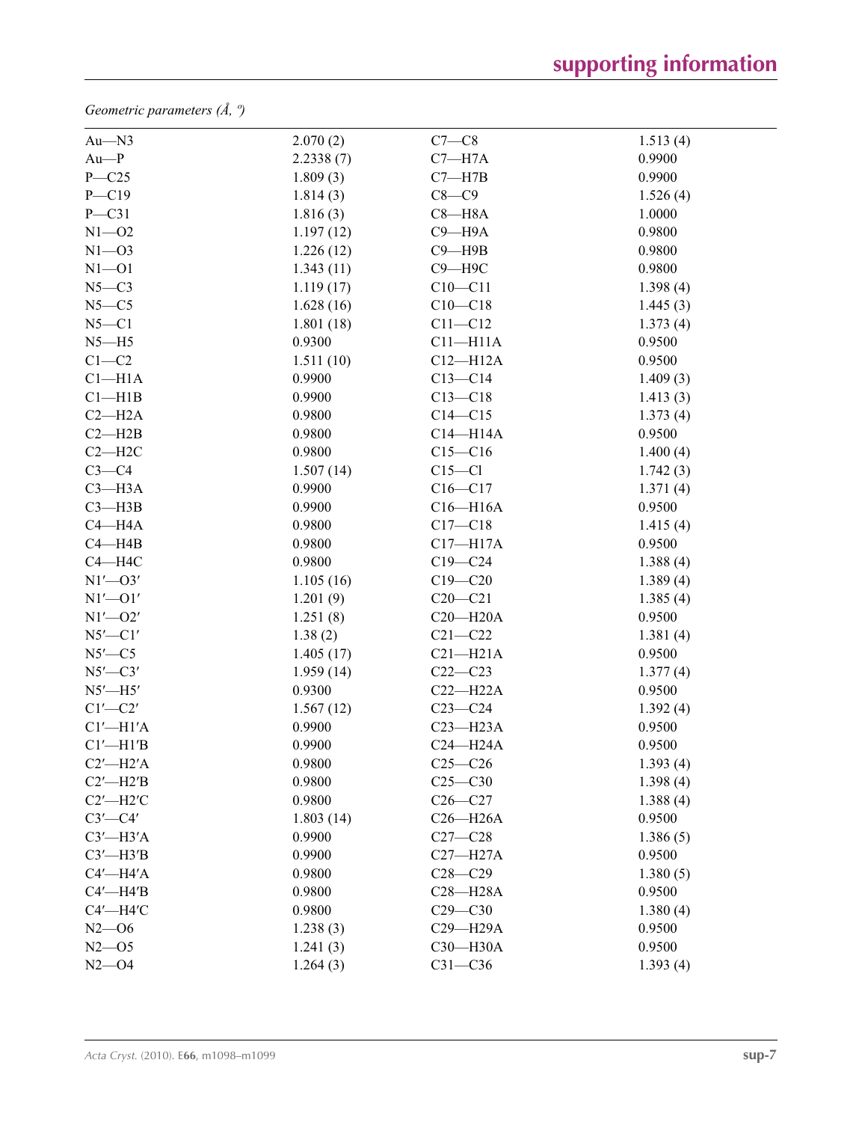*Geometric parameters (Å, º)*

| $Au$ — $N3$        | 2.070(2)  | $C7-C8$      | 1.513(4) |
|--------------------|-----------|--------------|----------|
| $Au-P$             | 2.2338(7) | $C7 - H7A$   | 0.9900   |
| $P - C25$          | 1.809(3)  | $C7 - H7B$   | 0.9900   |
| $P - C19$          | 1.814(3)  | $C8-C9$      | 1.526(4) |
| $P - C31$          | 1.816(3)  | $C8 - H8A$   | 1.0000   |
| $N1 - 02$          | 1.197(12) | $C9 - H9A$   | 0.9800   |
| $N1 - 03$          | 1.226(12) | $C9 - H9B$   | 0.9800   |
| $N1 - 01$          | 1.343(11) | $C9 - H9C$   | 0.9800   |
| $N5-C3$            | 1.119(17) | $C10 - C11$  | 1.398(4) |
| $N5 - C5$          | 1.628(16) | $C10 - C18$  | 1.445(3) |
| $N5 - C1$          | 1.801(18) | $C11 - C12$  | 1.373(4) |
| $N5 - H5$          | 0.9300    | $C11 - H11A$ | 0.9500   |
| $C1-C2$            | 1.511(10) | $C12 - H12A$ | 0.9500   |
| Cl <sub>–H1A</sub> | 0.9900    | $C13-C14$    | 1.409(3) |
| Cl—H1B             | 0.9900    | $C13 - C18$  | 1.413(3) |
| $C2-H2A$           | 0.9800    | $C14 - C15$  | 1.373(4) |
| $C2 - H2B$         | 0.9800    | $C14 - H14A$ | 0.9500   |
| $C2 - H2C$         | 0.9800    | $C15-C16$    | 1.400(4) |
| $C3-C4$            | 1.507(14) | $C15 - C1$   | 1.742(3) |
| $C3 - H3A$         | 0.9900    | $C16 - C17$  | 1.371(4) |
| $C3 - H3B$         | 0.9900    | $C16 - H16A$ | 0.9500   |
| $C4 - H4A$         | 0.9800    | $C17 - C18$  | 1.415(4) |
| $C4 - H4B$         | 0.9800    | $C17 - H17A$ | 0.9500   |
| $C4 - H4C$         | 0.9800    | $C19 - C24$  | 1.388(4) |
| $N1'$ - $O3'$      | 1.105(16) | $C19 - C20$  | 1.389(4) |
| $N1'$ - $O1'$      | 1.201(9)  | $C20 - C21$  | 1.385(4) |
| $N1'$ - $O2'$      | 1.251(8)  | $C20 - H20A$ | 0.9500   |
| $N5'$ - $Cl'$      | 1.38(2)   | $C21 - C22$  | 1.381(4) |
| $N5'$ —C5          | 1.405(17) | $C21 - H21A$ | 0.9500   |
| $N5'$ —C $3'$      | 1.959(14) | $C22-C23$    | 1.377(4) |
| $N5'$ -H5'         | 0.9300    | $C22 - H22A$ | 0.9500   |
| $C1'$ - $C2'$      | 1.567(12) | $C23-C24$    | 1.392(4) |
| $Cl'$ -H $1'A$     | 0.9900    | $C23 - H23A$ | 0.9500   |
| $Cl'$ -H $1'B$     | 0.9900    | $C24 - H24A$ | 0.9500   |
| $C2'$ -H2'A        | 0.9800    | $C25-C26$    | 1.393(4) |
| $C2'$ -H2'B        | 0.9800    | $C25 - C30$  | 1.398(4) |
| $C2'$ -H2'C        | 0.9800    | $C26-C27$    | 1.388(4) |
| $C3'$ - $C4'$      | 1.803(14) | $C26 - H26A$ | 0.9500   |
| $C3'$ —H3'A        | 0.9900    | $C27-C28$    | 1.386(5) |
| $C3'$ -H3'B        | 0.9900    | $C27 - H27A$ | 0.9500   |
| $C4'$ —H4'A        | 0.9800    | $C28 - C29$  | 1.380(5) |
| $C4'$ -H4'B        | 0.9800    | C28-H28A     | 0.9500   |
| $C4'$ —H4'C        | 0.9800    | $C29 - C30$  | 1.380(4) |
| $N2 - 06$          | 1.238(3)  | C29-H29A     | 0.9500   |
| $N2 - 05$          | 1.241(3)  | C30-H30A     | 0.9500   |
| $N2 - 04$          | 1.264(3)  | $C31 - C36$  | 1.393(4) |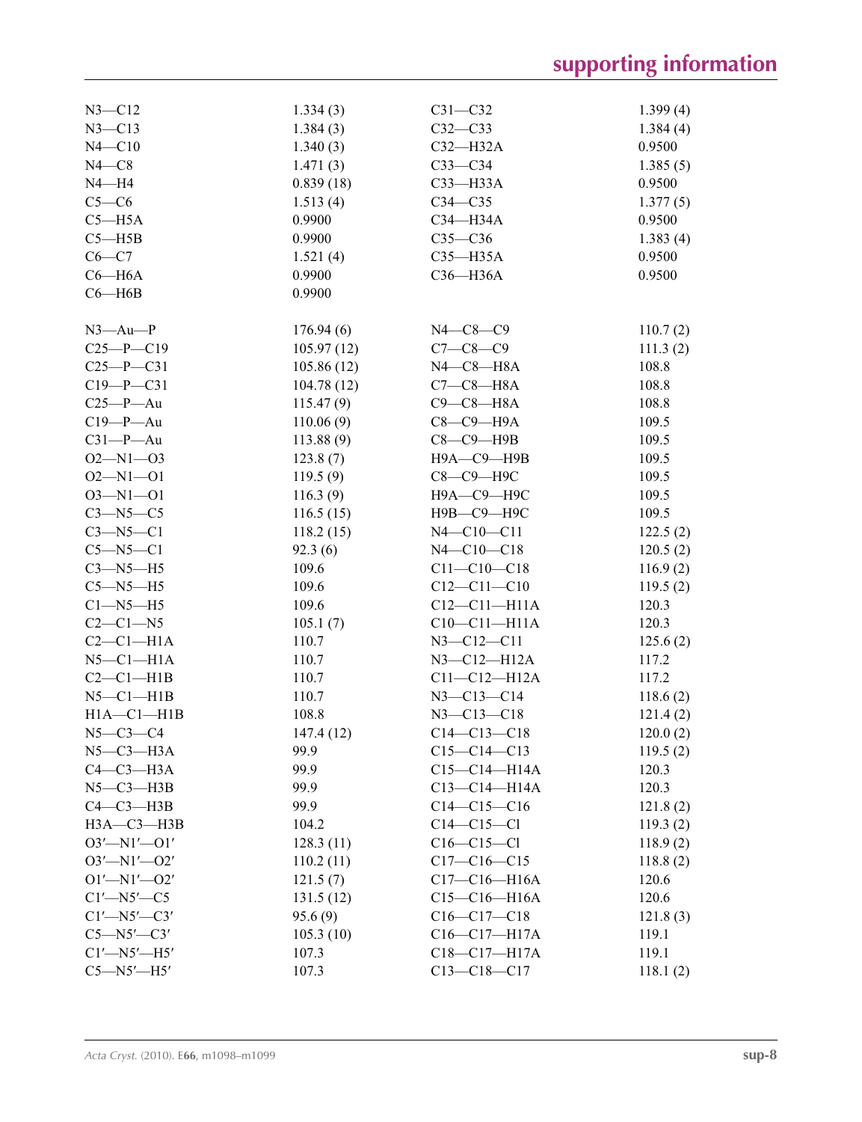# **supporting information**

| $N3 - C12$            | 1.334(3)               | $C31 - C32$         | 1.399(4) |
|-----------------------|------------------------|---------------------|----------|
| $N3 - C13$            | 1.384(3)               | $C32-C33$           | 1.384(4) |
| $N4 - C10$            | 1.340(3)               | $C32-H32A$          | 0.9500   |
| $N4 - C8$             | 1.471(3)               | $C33-C34$           | 1.385(5) |
| $N4 - H4$             | 0.839(18)              | $C33$ -H33A         | 0.9500   |
| $C5-C6$               | 1.513(4)               | $C34 - C35$         | 1.377(5) |
| $C5 - H5A$            | 0.9900                 | C34-H34A            | 0.9500   |
| $C5 - H5B$            | 0.9900                 | $C35-C36$           | 1.383(4) |
| $C6-C7$               | 1.521(4)               | $C35 - H35A$        | 0.9500   |
| $C6 - H6A$            | 0.9900                 | C36-H36A            | 0.9500   |
| $C6 - H6B$            | 0.9900                 |                     |          |
|                       |                        |                     |          |
| $N3$ —Au—P            | 176.94(6)              | $N4 - C8 - C9$      | 110.7(2) |
| $C25-P-C19$           | 105.97(12)             | $C7 - C8 - C9$      | 111.3(2) |
| $C25-P$ -C31          | 105.86(12)             | $N4$ — $C8$ —H $8A$ | 108.8    |
| $C19 - P - C31$       | 104.78(12)             | $C7-C8-H8A$         | 108.8    |
| $C25-P$ —Au           | 115.47(9)              | $C9-C8-H8A$         | 108.8    |
| $C19-P$ —Au           | 110.06(9)              | $C8-C9-H9A$         | 109.5    |
| $C31-P$ —Au           | 113.88(9)              | $C8-C9-$ H9B        | 109.5    |
| $O2 - N1 - O3$        | 123.8(7)               | Н9А-С9-Н9В          | 109.5    |
| $O2 - N1 - O1$        | 119.5(9)               | С8-С9-Н9С           | 109.5    |
| $O3 - N1 - O1$        | 116.3(9)               | Н9А-С9-Н9С          | 109.5    |
| $C3 - N5 - C5$        | 116.5(15)              | Н9В-С9-Н9С          | 109.5    |
| $C3 - N5 - C1$        | 118.2(15)              | $N4 - C10 - C11$    | 122.5(2) |
| $C5 - N5 - C1$        | 92.3(6)                | $N4 - C10 - C18$    | 120.5(2) |
| $C3 - N5 - H5$        | 109.6                  | $C11 - C10 - C18$   | 116.9(2) |
| $C5 - N5 - H5$        | 109.6                  | $C12 - C11 - C10$   | 119.5(2) |
| $C1 - N5 - H5$        | 109.6                  | $C12-C11-H11A$      | 120.3    |
| $C2-C1-N5$            | 105.1(7)               | $C10-C11-H11A$      | 120.3    |
| $C2-C1-H1A$           | 110.7                  | $N3 - C12 - C11$    | 125.6(2) |
| $N5-C1-H1A$           | 110.7                  | $N3 - C12 - H12A$   | 117.2    |
| $C2-C1-H1B$           | 110.7                  | $C11 - C12 - H12A$  | 117.2    |
| $N5-C1-H1B$           | 110.7                  | $N3 - C13 - C14$    | 118.6(2) |
| $H1A - C1 - H1B$      | 108.8                  | $N3 - C13 - C18$    | 121.4(2) |
| $N5-C3-C4$            | 147.4 (12)             | $C14 - C13 - C18$   | 120.0(2) |
| $N5-C3-H3A$           | 99.9                   | $C15-C14-C13$       | 119.5(2) |
| $C4-C3-H3A$           | 99.9                   | C15-C14-H14A        | 120.3    |
| $N5-C3-H3B$           | 99.9                   | $C13-C14-H14A$      | 120.3    |
| $C4-C3-H3B$           | 99.9                   | $C14-C15-C16$       | 121.8(2) |
| $H3A - C3 - H3B$      | 104.2                  | $C14-C15-C1$        |          |
| $O3'$ -N1'- $O1'$     |                        | $C16-C15-C1$        | 119.3(2) |
|                       | 128.3(11)<br>110.2(11) | $C17 - C16 - C15$   | 118.9(2) |
| $O3'$ —N1'—O2'        |                        | $C17-C16-H16A$      | 118.8(2) |
| $O1'$ —N $1'$ — $O2'$ | 121.5(7)               |                     | 120.6    |
| $C1'$ —N5'—C5         | 131.5(12)              | $C15-C16-H16A$      | 120.6    |
| $Cl'$ —N5 $'$ —C3'    | 95.6(9)                | $C16-C17-C18$       | 121.8(3) |
| $C5 - N5' - C3'$      | 105.3(10)              | C16-C17-H17A        | 119.1    |
| $Cl'$ -N5'-H5'        | 107.3                  | C18-C17-H17A        | 119.1    |
| $C5 - N5' - H5'$      | 107.3                  | $C13 - C18 - C17$   | 118.1(2) |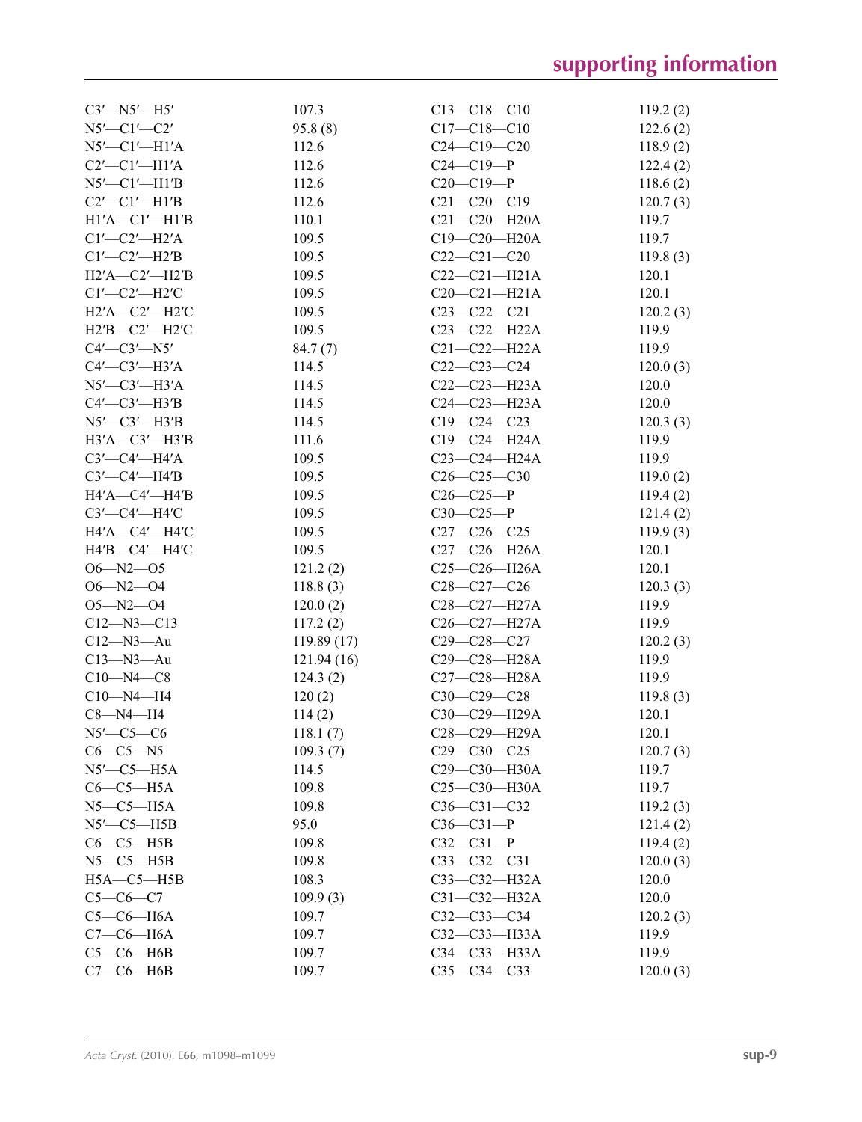| $C3'$ -N5'-H5'          | 107.3      | $C13 - C18 - C10$                                   | 119.2(2)          |
|-------------------------|------------|-----------------------------------------------------|-------------------|
| $N5'$ —C1'—C2'          | 95.8(8)    | $C17 - C18 - C10$                                   | 122.6(2)          |
| $N5'$ — $Cl'$ — $H1'A$  | 112.6      | $C24 - C19 - C20$                                   | 118.9(2)          |
| $C2'$ - $C1'$ - $H1'A$  | 112.6      | $C24-C19-P$                                         | 122.4(2)          |
| $N5'$ - $Cl'$ - $H1'B$  | 112.6      | $C20-C19-P$                                         | 118.6(2)          |
| $C2'$ - $C1'$ - $H1'B$  | 112.6      | $C21 - C20 - C19$                                   | 120.7(3)          |
| $H1'A$ -C1'-H1'B        | 110.1      | $C21 - C20 - H20A$                                  | 119.7             |
| $Cl'$ - $Cl'$ - $H2'A$  | 109.5      | $C19 - C20 - H20A$                                  | 119.7             |
| $Cl'$ - $Cl'$ - $H2'B$  | 109.5      | $C22-C21-C20$                                       | 119.8(3)          |
| $H2'A$ — $C2'$ — $H2'B$ | 109.5      | $C22-C21-H21A$                                      | 120.1             |
| $Cl'$ - $Cl'$ - $H2'C$  | 109.5      | $C20-C21-H21A$                                      | 120.1             |
| $H2'A$ -C2'-H2'C        | 109.5      | $C23-C22-C21$                                       | 120.2(3)          |
| $H2'B$ -C2'-H2'C        | 109.5      | $C23 - C22 - H22A$                                  | 119.9             |
| $C4'$ — $C3'$ — $N5'$   | 84.7(7)    | $C21 - C22 - H22A$                                  | 119.9             |
| $C4'$ — $C3'$ — $H3'A$  | 114.5      | $C22-C23-C24$                                       | 120.0(3)          |
| $N5'$ — $C3'$ — $H3'A$  | 114.5      | $C22-C23-H23A$                                      | 120.0             |
| $C4'$ — $C3'$ — $H3'B$  | 114.5      | $C24 - C23 - H23A$                                  | 120.0             |
| $N5'$ -C3'-H3'B         | 114.5      | $C19 - C24 - C23$                                   | 120.3(3)          |
| H3'A-C3'-H3'B           | 111.6      | $C19 - C24 - H24A$                                  | 119.9             |
| $C3'$ — $C4'$ — $H4'A$  | 109.5      | $C23 - C24 - H24A$                                  | 119.9             |
| $C3'$ — $C4'$ —H4'B     | 109.5      | $C26 - C25 - C30$                                   | 119.0(2)          |
| $H4'A$ —C4'—H4'B        | 109.5      | $C26-C25-P$                                         | 119.4(2)          |
| $C3'$ — $C4'$ — $H4'C$  | 109.5      | $C30-C25-P$                                         | 121.4(2)          |
| H4'A-C4'-H4'C           | 109.5      | $C27-C26-C25$                                       | 119.9(3)          |
| $H4'B$ - $C4'$ - $H4'C$ | 109.5      | $C27-C26-H26A$                                      | 120.1             |
| $O6 - N2 - O5$          | 121.2(2)   | $C25 - C26 - H26A$                                  | 120.1             |
| $O6 - N2 - O4$          | 118.8(3)   | $C28-C27-C26$                                       | 120.3(3)          |
| $O5 - N2 - O4$          |            | C <sub>28</sub> -C <sub>27</sub> -H <sub>27</sub> A | 119.9             |
| $C12 - N3 - C13$        | 120.0(2)   | $C26-C27-H27A$                                      | 119.9             |
| $C12 - N3 - Au$         | 117.2(2)   | $C29 - C28 - C27$                                   | 120.2(3)          |
|                         | 119.89(17) |                                                     |                   |
| $C13 - N3 - Au$         | 121.94(16) | C29-C28-H28A<br>C27-C28-H28A                        | 119.9             |
| $C10 - N4 - C8$         | 124.3(2)   |                                                     | 119.9             |
| $C10 - N4 - H4$         | 120(2)     | $C30-C29-C28$<br>C30-C29-H29A                       | 119.8(3)<br>120.1 |
| $C8 - N4 - H4$          | 114(2)     |                                                     |                   |
| $N5'$ —C5—C6            | 118.1(7)   | C28-C29-H29A                                        | 120.1             |
| $C6-C5-N5$              | 109.3(7)   | $C29 - C30 - C25$                                   | 120.7(3)          |
| $N5'$ - $C5$ - $H5A$    | 114.5      | C29-C30-H30A                                        | 119.7             |
| $C6-C5-H5A$             | 109.8      | $C25-C30-H30A$                                      | 119.7             |
| $N5 - C5 - H5A$         | 109.8      | $C36 - C31 - C32$                                   | 119.2(3)          |
| $N5'$ -C5-H5B           | 95.0       | $C36-C31-P$                                         | 121.4(2)          |
| $C6-C5-H5B$             | 109.8      | $C32-C31-P$                                         | 119.4(2)          |
| $N5 - C5 - H5B$         | 109.8      | $C33 - C32 - C31$                                   | 120.0(3)          |
| $H5A-C5-H5B$            | 108.3      | $C33 - C32 - H32A$                                  | 120.0             |
| $C5-C6-C7$              | 109.9(3)   | $C31 - C32 - H32A$                                  | 120.0             |
| $C5-C6-H6A$             | 109.7      | $C32-C33-C34$                                       | 120.2(3)          |
| $C7-C6-H6A$             | 109.7      | C32-C33-H33A                                        | 119.9             |
| $C5-C6-H6B$             | 109.7      | $C34 - C33 - H33A$                                  | 119.9             |
| $C7-C6-H6B$             | 109.7      | $C35 - C34 - C33$                                   | 120.0(3)          |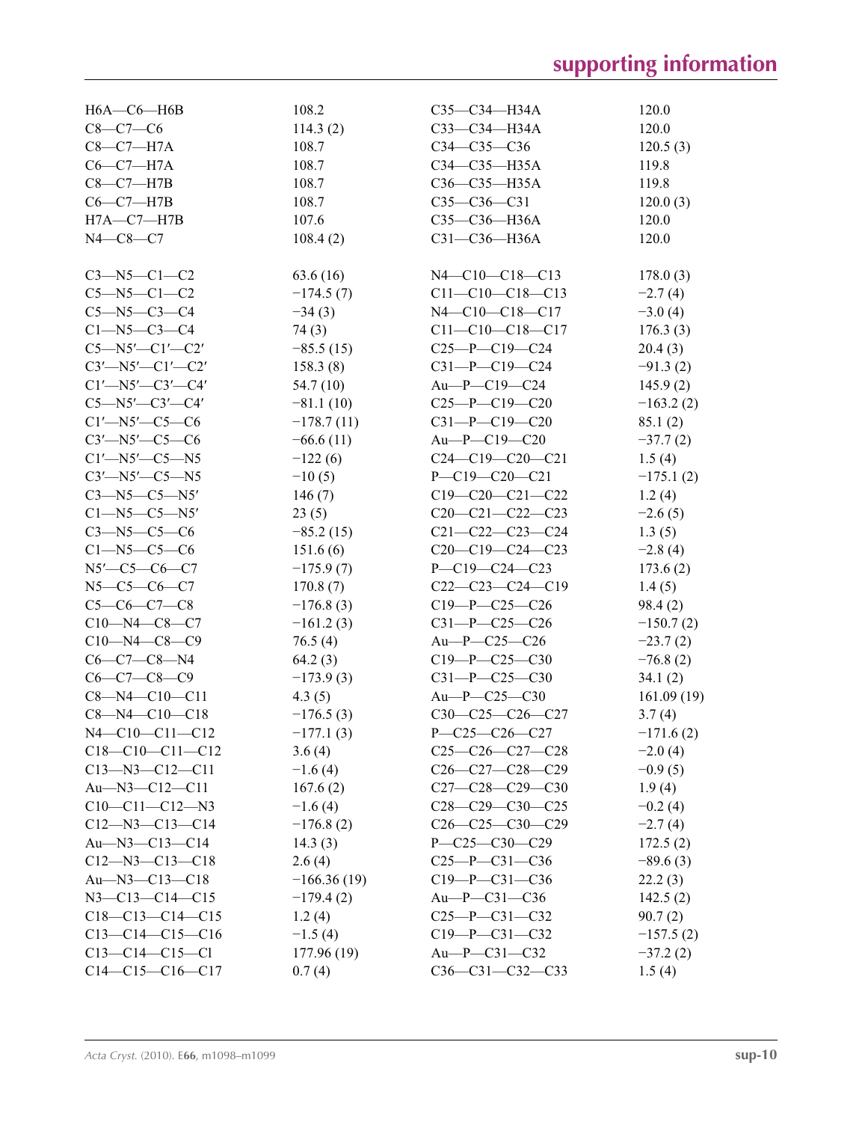| $H6A$ — $C6$ — $H6B$        | 108.2         | $C35 - C34 - H34A$         | 120.0       |
|-----------------------------|---------------|----------------------------|-------------|
| $C8 - C7 - C6$              | 114.3(2)      | $C33 - C34 - H34A$         | 120.0       |
| $C8-C7-H7A$                 | 108.7         | $C34 - C35 - C36$          | 120.5(3)    |
| $C6-C7-H7A$                 | 108.7         | C34-C35-H35A               | 119.8       |
| $C8-C7-H7B$                 | 108.7         | $C36 - C35 - H35A$         | 119.8       |
| $C6-C7-H7B$                 | 108.7         | $C35-C36-C31$              | 120.0(3)    |
| $H7A-C7-H7B$                | 107.6         | C35-C36-H36A               | 120.0       |
| $N4 - C8 - C7$              | 108.4(2)      | $C31 - C36 - H36A$         | 120.0       |
|                             |               |                            |             |
| $C3 - N5 - C1 - C2$         | 63.6(16)      | $N4 - C10 - C18 - C13$     | 178.0(3)    |
| $C5 - N5 - C1 - C2$         | $-174.5(7)$   | $C11-C10-C18-C13$          | $-2.7(4)$   |
| $C5 - N5 - C3 - C4$         | $-34(3)$      | $N4 - C10 - C18 - C17$     | $-3.0(4)$   |
| $C1 - N5 - C3 - C4$         | 74(3)         | $C11-C10-C18-C17$          | 176.3(3)    |
| $C5 - N5' - C1' - C2'$      | $-85.5(15)$   | $C25-P-C19-C24$            | 20.4(3)     |
| $C3'$ -N5'-C1'-C2'          | 158.3(8)      | $C31-P-C19-C24$            | $-91.3(2)$  |
| $Cl'$ —N5'—C3'—C4'          | 54.7 (10)     | $Au-P$ - $C19$ - $C24$     | 145.9(2)    |
| $C5 - N5' - C3' - C4'$      | $-81.1(10)$   | $C25-P-C19-C20$            | $-163.2(2)$ |
| $C1'$ —N5'—C5—C6            | $-178.7(11)$  | $C31-P-C19-C20$            | 85.1(2)     |
| $C3'$ —N5'—C5—C6            | $-66.6(11)$   | $Au-P$ — $C19$ — $C20$     | $-37.7(2)$  |
| $C1'$ —N5'—C5—N5            | $-122(6)$     | $C24-C19-C20-C21$          | 1.5(4)      |
| $C3'$ —N5 $'$ —C5—N5        | $-10(5)$      | $P - C19 - C20 - C21$      | $-175.1(2)$ |
| $C3 - N5 - C5 - N5'$        | 146(7)        | $C19-C20-C21-C22$          | 1.2(4)      |
| $C1 - N5 - C5 - N5'$        | 23(5)         | $C20-C21-C22-C23$          | $-2.6(5)$   |
| $C3 - N5 - C5 - C6$         | $-85.2(15)$   | $C21 - C22 - C23 - C24$    | 1.3(5)      |
| $C1 - N5 - C5 - C6$         | 151.6(6)      | $C20-C19-C24-C23$          | $-2.8(4)$   |
| $N5'$ - $C5$ - $C6$ - $C7$  | $-175.9(7)$   | $P - C19 - C24 - C23$      | 173.6(2)    |
| $N5 - C5 - C6 - C7$         | 170.8(7)      | $C22-C23-C24-C19$          | 1.4(5)      |
| $C5-C6-C7-C8$               | $-176.8(3)$   | $C19-P-C25-C26$            | 98.4(2)     |
| $C10 - N4 - C8 - C7$        | $-161.2(3)$   | $C31-P-C25-C26$            | $-150.7(2)$ |
| $C10 - N4 - C8 - C9$        | 76.5(4)       | Au-P-C25-C26               | $-23.7(2)$  |
| $C6-C7-C8-N4$               | 64.2(3)       | $C19 - P - C25 - C30$      | $-76.8(2)$  |
| $C6-C7-C8-C9$               | $-173.9(3)$   | $C31-P-C25-C30$            | 34.1(2)     |
| $C8 - N4 - C10 - C11$       | 4.3(5)        | Au-P-C25-C30               | 161.09(19)  |
| $C8 - N4 - C10 - C18$       | $-176.5(3)$   | $C30-C25-C26-C27$          | 3.7(4)      |
| $N4 - C10 - C11 - C12$      | $-177.1(3)$   | P-C25-C26-C27              | $-171.6(2)$ |
| $C18-C10-C11-C12$           | 3.6(4)        | $C25-C26-C27-C28$          | $-2.0(4)$   |
| $C13 - N3 - C12 - C11$      | $-1.6(4)$     | $C26-C27-C28-C29$          | $-0.9(5)$   |
| $Au$ — $N3$ — $C12$ — $C11$ | 167.6(2)      | $C27-C28-C29-C30$          | 1.9(4)      |
| $C10-C11-C12-N3$            | $-1.6(4)$     | $C28-C29-C30-C25$          | $-0.2(4)$   |
| $C12 - N3 - C13 - C14$      | $-176.8(2)$   | $C26-C25-C30-C29$          | $-2.7(4)$   |
| $Au$ — $N3$ — $C13$ — $C14$ | 14.3(3)       | $P - C25 - C30 - C29$      | 172.5(2)    |
| $C12 - N3 - C13 - C18$      | 2.6(4)        | $C25-P-C31-C36$            | $-89.6(3)$  |
| $Au$ — $N3$ — $C13$ — $C18$ | $-166.36(19)$ | $C19 - P - C31 - C36$      | 22.2(3)     |
| $N3 - C13 - C14 - C15$      | $-179.4(2)$   | $Au-P$ — $C31$ — $C36$     | 142.5(2)    |
| $C18-C13-C14-C15$           | 1.2(4)        | $C25-P$ - $C31$ - $C32$    | 90.7(2)     |
| $C13-C14-C15-C16$           | $-1.5(4)$     | $C19 - P - C31 - C32$      | $-157.5(2)$ |
| $C13-C14-C15-C1$            | 177.96 (19)   | $Au$ — $P$ — $C31$ — $C32$ |             |
| $C14-C15-C16-C17$           |               | $C36-C31-C32-C33$          | $-37.2(2)$  |
|                             | 0.7(4)        |                            | 1.5(4)      |